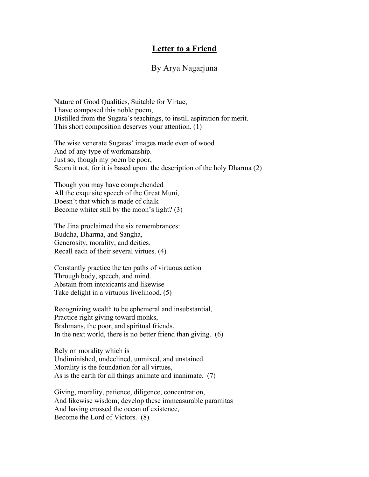## **Letter to a Friend**

## By Arya Nagarjuna

Nature of Good Qualities, Suitable for Virtue, I have composed this noble poem, Distilled from the Sugata's teachings, to instill aspiration for merit. This short composition deserves your attention. (1)

The wise venerate Sugatas' images made even of wood And of any type of workmanship. Just so, though my poem be poor, Scorn it not, for it is based upon the description of the holy Dharma (2)

Though you may have comprehended All the exquisite speech of the Great Muni, Doesn't that which is made of chalk Become whiter still by the moon's light? (3)

The Jina proclaimed the six remembrances: Buddha, Dharma, and Sangha, Generosity, morality, and deities. Recall each of their several virtues. (4)

Constantly practice the ten paths of virtuous action Through body, speech, and mind. Abstain from intoxicants and likewise Take delight in a virtuous livelihood. (5)

Recognizing wealth to be ephemeral and insubstantial, Practice right giving toward monks, Brahmans, the poor, and spiritual friends. In the next world, there is no better friend than giving. (6)

Rely on morality which is Undiminished, undeclined, unmixed, and unstained. Morality is the foundation for all virtues, As is the earth for all things animate and inanimate. (7)

Giving, morality, patience, diligence, concentration, And likewise wisdom; develop these immeasurable paramitas And having crossed the ocean of existence, Become the Lord of Victors. (8)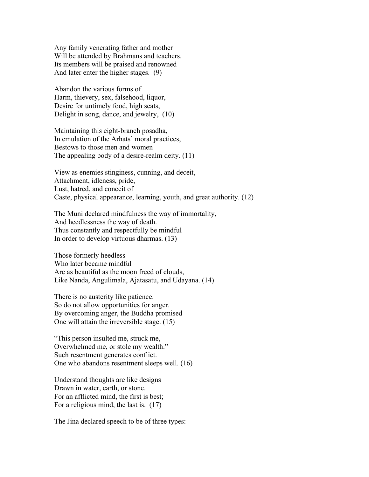Any family venerating father and mother Will be attended by Brahmans and teachers. Its members will be praised and renowned And later enter the higher stages. (9)

Abandon the various forms of Harm, thievery, sex, falsehood, liquor, Desire for untimely food, high seats, Delight in song, dance, and jewelry, (10)

Maintaining this eight-branch posadha, In emulation of the Arhats' moral practices, Bestows to those men and women The appealing body of a desire-realm deity. (11)

View as enemies stinginess, cunning, and deceit, Attachment, idleness, pride, Lust, hatred, and conceit of Caste, physical appearance, learning, youth, and great authority. (12)

The Muni declared mindfulness the way of immortality, And heedlessness the way of death. Thus constantly and respectfully be mindful In order to develop virtuous dharmas. (13)

Those formerly heedless Who later became mindful Are as beautiful as the moon freed of clouds, Like Nanda, Angulimala, Ajatasatu, and Udayana. (14)

There is no austerity like patience. So do not allow opportunities for anger. By overcoming anger, the Buddha promised One will attain the irreversible stage. (15)

"This person insulted me, struck me, Overwhelmed me, or stole my wealth." Such resentment generates conflict. One who abandons resentment sleeps well. (16)

Understand thoughts are like designs Drawn in water, earth, or stone. For an afflicted mind, the first is best; For a religious mind, the last is. (17)

The Jina declared speech to be of three types: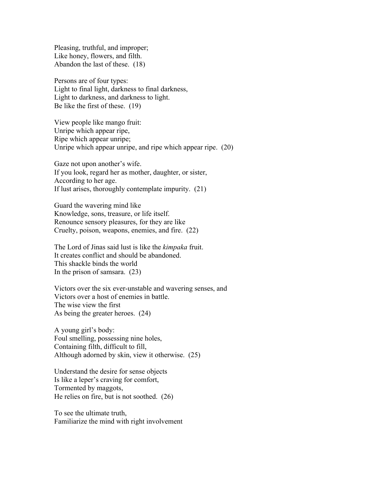Pleasing, truthful, and improper; Like honey, flowers, and filth. Abandon the last of these. (18)

Persons are of four types: Light to final light, darkness to final darkness, Light to darkness, and darkness to light. Be like the first of these. (19)

View people like mango fruit: Unripe which appear ripe, Ripe which appear unripe; Unripe which appear unripe, and ripe which appear ripe. (20)

Gaze not upon another's wife. If you look, regard her as mother, daughter, or sister, According to her age. If lust arises, thoroughly contemplate impurity. (21)

Guard the wavering mind like Knowledge, sons, treasure, or life itself. Renounce sensory pleasures, for they are like Cruelty, poison, weapons, enemies, and fire. (22)

The Lord of Jinas said lust is like the *kimpaka* fruit. It creates conflict and should be abandoned. This shackle binds the world In the prison of samsara. (23)

Victors over the six ever-unstable and wavering senses, and Victors over a host of enemies in battle. The wise view the first As being the greater heroes. (24)

A young girl's body: Foul smelling, possessing nine holes, Containing filth, difficult to fill, Although adorned by skin, view it otherwise. (25)

Understand the desire for sense objects Is like a leper's craving for comfort, Tormented by maggots, He relies on fire, but is not soothed. (26)

To see the ultimate truth, Familiarize the mind with right involvement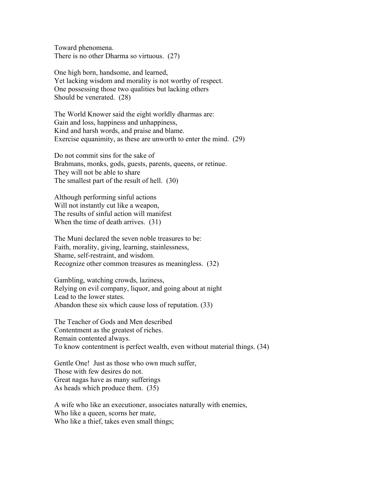Toward phenomena. There is no other Dharma so virtuous. (27)

One high born, handsome, and learned, Yet lacking wisdom and morality is not worthy of respect. One possessing those two qualities but lacking others Should be venerated. (28)

The World Knower said the eight worldly dharmas are: Gain and loss, happiness and unhappiness, Kind and harsh words, and praise and blame. Exercise equanimity, as these are unworth to enter the mind. (29)

Do not commit sins for the sake of Brahmans, monks, gods, guests, parents, queens, or retinue. They will not be able to share The smallest part of the result of hell. (30)

Although performing sinful actions Will not instantly cut like a weapon, The results of sinful action will manifest When the time of death arrives. (31)

The Muni declared the seven noble treasures to be: Faith, morality, giving, learning, stainlessness, Shame, self-restraint, and wisdom. Recognize other common treasures as meaningless. (32)

Gambling, watching crowds, laziness, Relying on evil company, liquor, and going about at night Lead to the lower states. Abandon these six which cause loss of reputation. (33)

The Teacher of Gods and Men described Contentment as the greatest of riches. Remain contented always. To know contentment is perfect wealth, even without material things. (34)

Gentle One! Just as those who own much suffer, Those with few desires do not. Great nagas have as many sufferings As heads which produce them. (35)

A wife who like an executioner, associates naturally with enemies, Who like a queen, scorns her mate, Who like a thief, takes even small things;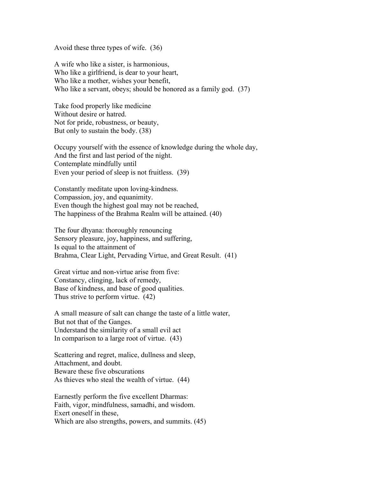Avoid these three types of wife. (36)

A wife who like a sister, is harmonious, Who like a girlfriend, is dear to your heart, Who like a mother, wishes your benefit, Who like a servant, obeys; should be honored as a family god. (37)

Take food properly like medicine Without desire or hatred. Not for pride, robustness, or beauty, But only to sustain the body. (38)

Occupy yourself with the essence of knowledge during the whole day, And the first and last period of the night. Contemplate mindfully until Even your period of sleep is not fruitless. (39)

Constantly meditate upon loving-kindness. Compassion, joy, and equanimity. Even though the highest goal may not be reached, The happiness of the Brahma Realm will be attained. (40)

The four dhyana: thoroughly renouncing Sensory pleasure, joy, happiness, and suffering, Is equal to the attainment of Brahma, Clear Light, Pervading Virtue, and Great Result. (41)

Great virtue and non-virtue arise from five: Constancy, clinging, lack of remedy, Base of kindness, and base of good qualities. Thus strive to perform virtue. (42)

A small measure of salt can change the taste of a little water, But not that of the Ganges. Understand the similarity of a small evil act In comparison to a large root of virtue. (43)

Scattering and regret, malice, dullness and sleep, Attachment, and doubt. Beware these five obscurations As thieves who steal the wealth of virtue. (44)

Earnestly perform the five excellent Dharmas: Faith, vigor, mindfulness, samadhi, and wisdom. Exert oneself in these, Which are also strengths, powers, and summits. (45)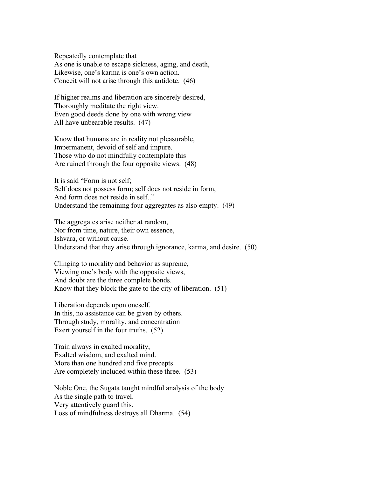Repeatedly contemplate that As one is unable to escape sickness, aging, and death, Likewise, one's karma is one's own action. Conceit will not arise through this antidote. (46)

If higher realms and liberation are sincerely desired, Thoroughly meditate the right view. Even good deeds done by one with wrong view All have unbearable results. (47)

Know that humans are in reality not pleasurable, Impermanent, devoid of self and impure. Those who do not mindfully contemplate this Are ruined through the four opposite views. (48)

It is said "Form is not self; Self does not possess form; self does not reside in form, And form does not reside in self.." Understand the remaining four aggregates as also empty. (49)

The aggregates arise neither at random, Nor from time, nature, their own essence, Ishvara, or without cause. Understand that they arise through ignorance, karma, and desire. (50)

Clinging to morality and behavior as supreme, Viewing one's body with the opposite views, And doubt are the three complete bonds. Know that they block the gate to the city of liberation. (51)

Liberation depends upon oneself. In this, no assistance can be given by others. Through study, morality, and concentration Exert yourself in the four truths. (52)

Train always in exalted morality, Exalted wisdom, and exalted mind. More than one hundred and five precepts Are completely included within these three. (53)

Noble One, the Sugata taught mindful analysis of the body As the single path to travel. Very attentively guard this. Loss of mindfulness destroys all Dharma. (54)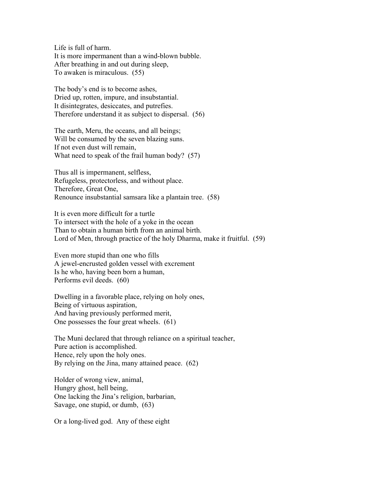Life is full of harm. It is more impermanent than a wind-blown bubble. After breathing in and out during sleep, To awaken is miraculous. (55)

The body's end is to become ashes, Dried up, rotten, impure, and insubstantial. It disintegrates, desiccates, and putrefies. Therefore understand it as subject to dispersal. (56)

The earth, Meru, the oceans, and all beings; Will be consumed by the seven blazing suns. If not even dust will remain, What need to speak of the frail human body? (57)

Thus all is impermanent, selfless, Refugeless, protectorless, and without place. Therefore, Great One, Renounce insubstantial samsara like a plantain tree. (58)

It is even more difficult for a turtle To intersect with the hole of a yoke in the ocean Than to obtain a human birth from an animal birth. Lord of Men, through practice of the holy Dharma, make it fruitful. (59)

Even more stupid than one who fills A jewel-encrusted golden vessel with excrement Is he who, having been born a human, Performs evil deeds. (60)

Dwelling in a favorable place, relying on holy ones, Being of virtuous aspiration, And having previously performed merit, One possesses the four great wheels. (61)

The Muni declared that through reliance on a spiritual teacher, Pure action is accomplished. Hence, rely upon the holy ones. By relying on the Jina, many attained peace. (62)

Holder of wrong view, animal, Hungry ghost, hell being, One lacking the Jina's religion, barbarian, Savage, one stupid, or dumb, (63)

Or a long-lived god. Any of these eight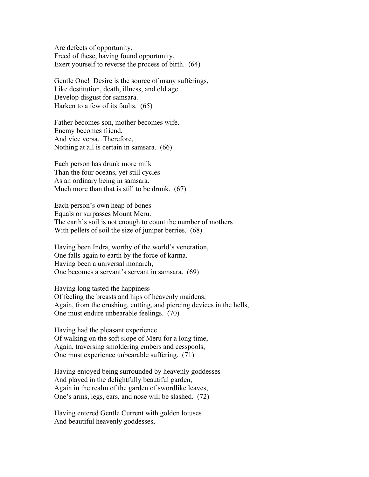Are defects of opportunity. Freed of these, having found opportunity, Exert yourself to reverse the process of birth. (64)

Gentle One! Desire is the source of many sufferings, Like destitution, death, illness, and old age. Develop disgust for samsara. Harken to a few of its faults. (65)

Father becomes son, mother becomes wife. Enemy becomes friend, And vice versa. Therefore, Nothing at all is certain in samsara. (66)

Each person has drunk more milk Than the four oceans, yet still cycles As an ordinary being in samsara. Much more than that is still to be drunk. (67)

Each person's own heap of bones Equals or surpasses Mount Meru. The earth's soil is not enough to count the number of mothers With pellets of soil the size of juniper berries. (68)

Having been Indra, worthy of the world's veneration, One falls again to earth by the force of karma. Having been a universal monarch, One becomes a servant's servant in samsara. (69)

Having long tasted the happiness Of feeling the breasts and hips of heavenly maidens, Again, from the crushing, cutting, and piercing devices in the hells, One must endure unbearable feelings. (70)

Having had the pleasant experience Of walking on the soft slope of Meru for a long time, Again, traversing smoldering embers and cesspools, One must experience unbearable suffering. (71)

Having enjoyed being surrounded by heavenly goddesses And played in the delightfully beautiful garden, Again in the realm of the garden of swordlike leaves, One's arms, legs, ears, and nose will be slashed. (72)

Having entered Gentle Current with golden lotuses And beautiful heavenly goddesses,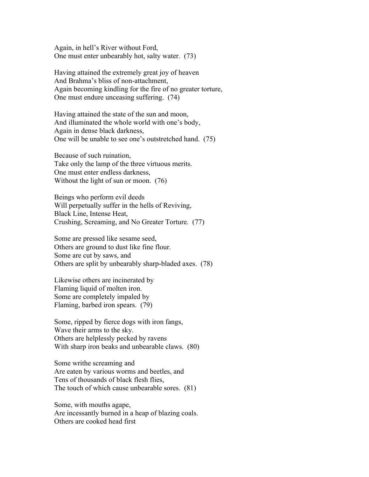Again, in hell's River without Ford, One must enter unbearably hot, salty water. (73)

Having attained the extremely great joy of heaven And Brahma's bliss of non-attachment, Again becoming kindling for the fire of no greater torture, One must endure unceasing suffering. (74)

Having attained the state of the sun and moon, And illuminated the whole world with one's body, Again in dense black darkness, One will be unable to see one's outstretched hand. (75)

Because of such ruination, Take only the lamp of the three virtuous merits. One must enter endless darkness, Without the light of sun or moon. (76)

Beings who perform evil deeds Will perpetually suffer in the hells of Reviving, Black Line, Intense Heat, Crushing, Screaming, and No Greater Torture. (77)

Some are pressed like sesame seed, Others are ground to dust like fine flour. Some are cut by saws, and Others are split by unbearably sharp-bladed axes. (78)

Likewise others are incinerated by Flaming liquid of molten iron. Some are completely impaled by Flaming, barbed iron spears. (79)

Some, ripped by fierce dogs with iron fangs, Wave their arms to the sky. Others are helplessly pecked by ravens With sharp iron beaks and unbearable claws. (80)

Some writhe screaming and Are eaten by various worms and beetles, and Tens of thousands of black flesh flies, The touch of which cause unbearable sores. (81)

Some, with mouths agape, Are incessantly burned in a heap of blazing coals. Others are cooked head first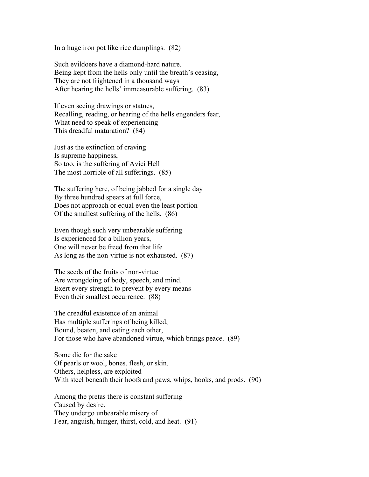In a huge iron pot like rice dumplings. (82)

Such evildoers have a diamond-hard nature. Being kept from the hells only until the breath's ceasing, They are not frightened in a thousand ways After hearing the hells' immeasurable suffering. (83)

If even seeing drawings or statues, Recalling, reading, or hearing of the hells engenders fear, What need to speak of experiencing This dreadful maturation? (84)

Just as the extinction of craving Is supreme happiness, So too, is the suffering of Avici Hell The most horrible of all sufferings. (85)

The suffering here, of being jabbed for a single day By three hundred spears at full force, Does not approach or equal even the least portion Of the smallest suffering of the hells. (86)

Even though such very unbearable suffering Is experienced for a billion years, One will never be freed from that life As long as the non-virtue is not exhausted. (87)

The seeds of the fruits of non-virtue Are wrongdoing of body, speech, and mind. Exert every strength to prevent by every means Even their smallest occurrence. (88)

The dreadful existence of an animal Has multiple sufferings of being killed, Bound, beaten, and eating each other, For those who have abandoned virtue, which brings peace. (89)

Some die for the sake Of pearls or wool, bones, flesh, or skin. Others, helpless, are exploited With steel beneath their hoofs and paws, whips, hooks, and prods. (90)

Among the pretas there is constant suffering Caused by desire. They undergo unbearable misery of Fear, anguish, hunger, thirst, cold, and heat. (91)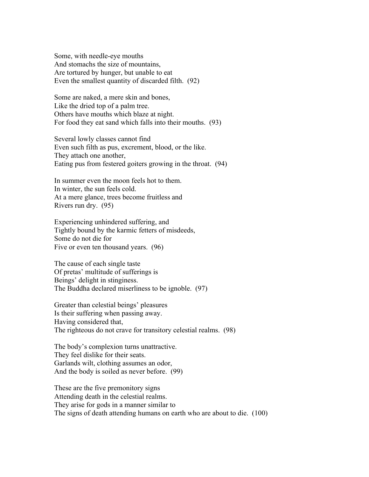Some, with needle-eye mouths And stomachs the size of mountains, Are tortured by hunger, but unable to eat Even the smallest quantity of discarded filth. (92)

Some are naked, a mere skin and bones, Like the dried top of a palm tree. Others have mouths which blaze at night. For food they eat sand which falls into their mouths. (93)

Several lowly classes cannot find Even such filth as pus, excrement, blood, or the like. They attach one another, Eating pus from festered goiters growing in the throat. (94)

In summer even the moon feels hot to them. In winter, the sun feels cold. At a mere glance, trees become fruitless and Rivers run dry. (95)

Experiencing unhindered suffering, and Tightly bound by the karmic fetters of misdeeds, Some do not die for Five or even ten thousand years. (96)

The cause of each single taste Of pretas' multitude of sufferings is Beings' delight in stinginess. The Buddha declared miserliness to be ignoble. (97)

Greater than celestial beings' pleasures Is their suffering when passing away. Having considered that, The righteous do not crave for transitory celestial realms. (98)

The body's complexion turns unattractive. They feel dislike for their seats. Garlands wilt, clothing assumes an odor, And the body is soiled as never before. (99)

These are the five premonitory signs Attending death in the celestial realms. They arise for gods in a manner similar to The signs of death attending humans on earth who are about to die. (100)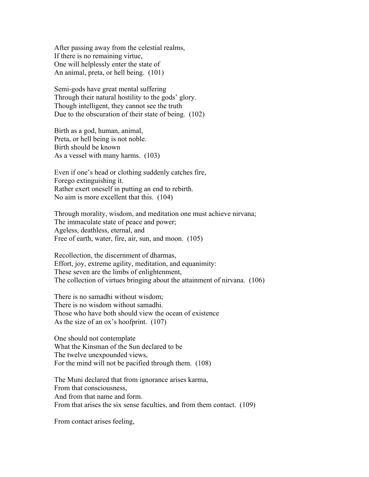After passing away from the celestial realms, If there is no remaining virtue, One will helplessly enter the state of An animal, preta, or hell being. (101)

Semi-gods have great mental suffering Through their natural hostility to the gods' glory. Though intelligent, they cannot see the truth Due to the obscuration of their state of being. (102)

Birth as a god, human, animal, Preta, or hell being is not noble. Birth should be known As a vessel with many harms. (103)

Even if one's head or clothing suddenly catches fire, Forego extinguishing it. Rather exert oneself in putting an end to rebirth. No aim is more excellent that this. (104)

Through morality, wisdom, and meditation one must achieve nirvana; The immaculate state of peace and power; Ageless, deathless, eternal, and Free of earth, water, fire, air, sun, and moon. (105)

Recollection, the discernment of dharmas, Effort, joy, extreme agility, meditation, and equanimity: These seven are the limbs of enlightenment, The collection of virtues bringing about the attainment of nirvana. (106)

There is no samadhi without wisdom; There is no wisdom without samadhi. Those who have both should view the ocean of existence As the size of an ox's hoofprint. (107)

One should not contemplate What the Kinsman of the Sun declared to be The twelve unexpounded views, For the mind will not be pacified through them. (108)

The Muni declared that from ignorance arises karma, From that consciousness, And from that name and form. From that arises the six sense faculties, and from them contact. (109)

From contact arises feeling,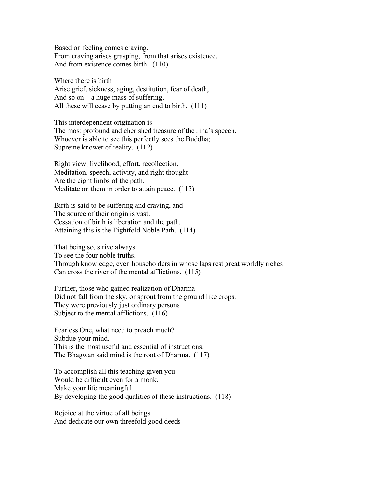Based on feeling comes craving. From craving arises grasping, from that arises existence, And from existence comes birth. (110)

Where there is birth Arise grief, sickness, aging, destitution, fear of death, And so on  $-$  a huge mass of suffering. All these will cease by putting an end to birth. (111)

This interdependent origination is The most profound and cherished treasure of the Jina's speech. Whoever is able to see this perfectly sees the Buddha; Supreme knower of reality. (112)

Right view, livelihood, effort, recollection, Meditation, speech, activity, and right thought Are the eight limbs of the path. Meditate on them in order to attain peace. (113)

Birth is said to be suffering and craving, and The source of their origin is vast. Cessation of birth is liberation and the path. Attaining this is the Eightfold Noble Path. (114)

That being so, strive always To see the four noble truths. Through knowledge, even householders in whose laps rest great worldly riches Can cross the river of the mental afflictions. (115)

Further, those who gained realization of Dharma Did not fall from the sky, or sprout from the ground like crops. They were previously just ordinary persons Subject to the mental afflictions. (116)

Fearless One, what need to preach much? Subdue your mind. This is the most useful and essential of instructions. The Bhagwan said mind is the root of Dharma. (117)

To accomplish all this teaching given you Would be difficult even for a monk. Make your life meaningful By developing the good qualities of these instructions. (118)

Rejoice at the virtue of all beings And dedicate our own threefold good deeds